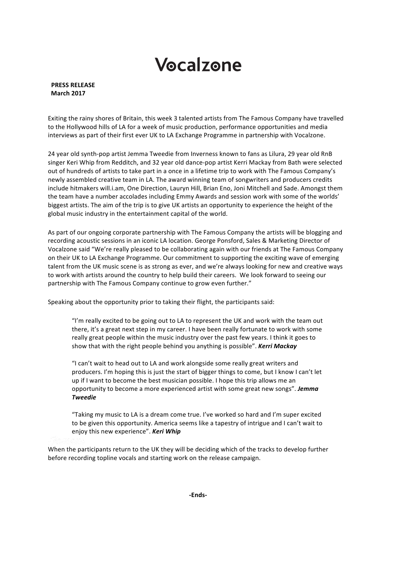# Vocalzone

## **PRESS RELEASE March 2017**

Exiting the rainy shores of Britain, this week 3 talented artists from The Famous Company have travelled to the Hollywood hills of LA for a week of music production, performance opportunities and media interviews as part of their first ever UK to LA Exchange Programme in partnership with Vocalzone.

24 year old synth-pop artist Jemma Tweedie from Inverness known to fans as Lilura, 29 year old RnB singer Keri Whip from Redditch, and 32 year old dance-pop artist Kerri Mackay from Bath were selected out of hundreds of artists to take part in a once in a lifetime trip to work with The Famous Company's newly assembled creative team in LA. The award winning team of songwriters and producers credits include hitmakers will.i.am, One Direction, Lauryn Hill, Brian Eno, Joni Mitchell and Sade. Amongst them the team have a number accolades including Emmy Awards and session work with some of the worlds' biggest artists. The aim of the trip is to give UK artists an opportunity to experience the height of the global music industry in the entertainment capital of the world.

As part of our ongoing corporate partnership with The Famous Company the artists will be blogging and recording acoustic sessions in an iconic LA location. George Ponsford, Sales & Marketing Director of Vocalzone said "We're really pleased to be collaborating again with our friends at The Famous Company on their UK to LA Exchange Programme. Our commitment to supporting the exciting wave of emerging talent from the UK music scene is as strong as ever, and we're always looking for new and creative ways to work with artists around the country to help build their careers. We look forward to seeing our partnership with The Famous Company continue to grow even further."

Speaking about the opportunity prior to taking their flight, the participants said:

"I'm really excited to be going out to LA to represent the UK and work with the team out there, it's a great next step in my career. I have been really fortunate to work with some really great people within the music industry over the past few years. I think it goes to show that with the right people behind you anything is possible". **Kerri Mackay** 

"I can't wait to head out to LA and work alongside some really great writers and producers. I'm hoping this is just the start of bigger things to come, but I know I can't let up if I want to become the best musician possible. I hope this trip allows me an opportunity to become a more experienced artist with some great new songs". **Jemma** *Tweedie*

"Taking my music to LA is a dream come true. I've worked so hard and I'm super excited to be given this opportunity. America seems like a tapestry of intrigue and I can't wait to enjoy this new experience". **Keri Whip** 

When the participants return to the UK they will be deciding which of the tracks to develop further before recording topline vocals and starting work on the release campaign.